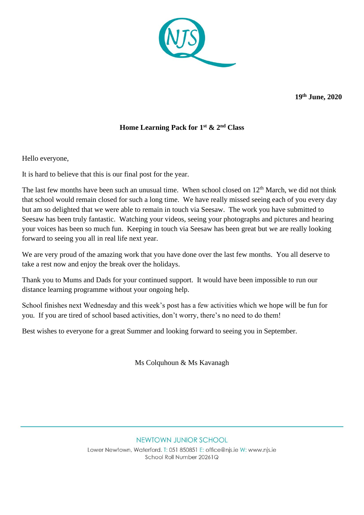

**19th June, 2020** 

## **Home Learning Pack for 1 st & 2nd Class**

Hello everyone,

It is hard to believe that this is our final post for the year.

The last few months have been such an unusual time. When school closed on  $12<sup>th</sup>$  March, we did not think that school would remain closed for such a long time. We have really missed seeing each of you every day but am so delighted that we were able to remain in touch via Seesaw. The work you have submitted to Seesaw has been truly fantastic. Watching your videos, seeing your photographs and pictures and hearing your voices has been so much fun. Keeping in touch via Seesaw has been great but we are really looking forward to seeing you all in real life next year.

We are very proud of the amazing work that you have done over the last few months. You all deserve to take a rest now and enjoy the break over the holidays.

Thank you to Mums and Dads for your continued support. It would have been impossible to run our distance learning programme without your ongoing help.

School finishes next Wednesday and this week's post has a few activities which we hope will be fun for you. If you are tired of school based activities, don't worry, there's no need to do them!

Best wishes to everyone for a great Summer and looking forward to seeing you in September.

Ms Colquhoun & Ms Kavanagh

## NEWTOWN JUNIOR SCHOOL

Lower Newtown, Waterford. T: 051 850851 E: office@njs.ie W: www.njs.ie School Roll Number 20261Q